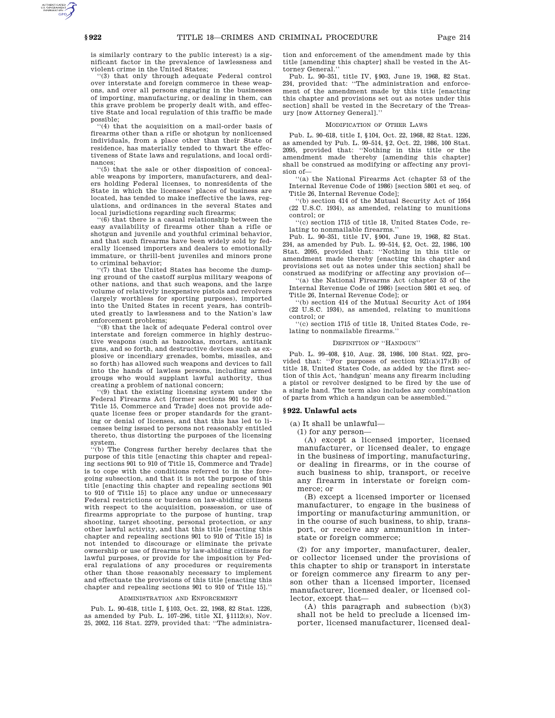is similarly contrary to the public interest) is a significant factor in the prevalence of lawlessness and violent crime in the United States;

''(3) that only through adequate Federal control over interstate and foreign commerce in these weapons, and over all persons engaging in the businesses of importing, manufacturing, or dealing in them, can this grave problem be properly dealt with, and effective State and local regulation of this traffic be made possible;

''(4) that the acquisition on a mail-order basis of firearms other than a rifle or shotgun by nonlicensed individuals, from a place other than their State of residence, has materially tended to thwart the effectiveness of State laws and regulations, and local ordinances;

''(5) that the sale or other disposition of concealable weapons by importers, manufacturers, and dealers holding Federal licenses, to nonresidents of the State in which the licensees' places of business are located, has tended to make ineffective the laws, regulations, and ordinances in the several States and local jurisdictions regarding such firearms;

''(6) that there is a casual relationship between the easy availability of firearms other than a rifle or shotgun and juvenile and youthful criminal behavior, and that such firearms have been widely sold by federally licensed importers and dealers to emotionally immature, or thrill-bent juveniles and minors prone to criminal behavior;

''(7) that the United States has become the dumping ground of the castoff surplus military weapons of other nations, and that such weapons, and the large volume of relatively inexpensive pistols and revolvers (largely worthless for sporting purposes), imported into the United States in recent years, has contributed greatly to lawlessness and to the Nation's law enforcement problems;

''(8) that the lack of adequate Federal control over interstate and foreign commerce in highly destructive weapons (such as bazookas, mortars, antitank guns, and so forth, and destructive devices such as explosive or incendiary grenades, bombs, missiles, and so forth) has allowed such weapons and devices to fall into the hands of lawless persons, including armed groups who would supplant lawful authority, thus creating a problem of national concern;

''(9) that the existing licensing system under the Federal Firearms Act [former sections 901 to 910 of Title 15, Commerce and Trade] does not provide adequate license fees or proper standards for the granting or denial of licenses, and that this has led to licenses being issued to persons not reasonably entitled thereto, thus distorting the purposes of the licensing

system. ''(b) The Congress further hereby declares that the purpose of this title [enacting this chapter and repealing sections 901 to 910 of Title 15, Commerce and Trade] is to cope with the conditions referred to in the foregoing subsection, and that it is not the purpose of this title [enacting this chapter and repealing sections 901 to 910 of Title 15] to place any undue or unnecessary Federal restrictions or burdens on law-abiding citizens with respect to the acquisition, possession, or use of firearms appropriate to the purpose of hunting, trap shooting, target shooting, personal protection, or any other lawful activity, and that this title [enacting this chapter and repealing sections 901 to 910 of Title 15] is not intended to discourage or eliminate the private ownership or use of firearms by law-abiding citizens for lawful purposes, or provide for the imposition by Federal regulations of any procedures or requirements other than those reasonably necessary to implement and effectuate the provisions of this title [enacting this chapter and repealing sections 901 to 910 of Title 15].''

# ADMINISTRATION AND ENFORCEMENT

Pub. L. 90–618, title I, §103, Oct. 22, 1968, 82 Stat. 1226, as amended by Pub. L. 107–296, title XI, §1112(s), Nov. 25, 2002, 116 Stat. 2279, provided that: ''The administration and enforcement of the amendment made by this title [amending this chapter] shall be vested in the Attorney General.''

Pub. L. 90–351, title IV, §903, June 19, 1968, 82 Stat. 234, provided that: ''The administration and enforcement of the amendment made by this title [enacting this chapter and provisions set out as notes under this section] shall be vested in the Secretary of the Treasury [now Attorney General].''

### MODIFICATION OF OTHER LAWS

Pub. L. 90–618, title I, §104, Oct. 22, 1968, 82 Stat. 1226, as amended by Pub. L. 99–514, §2, Oct. 22, 1986, 100 Stat. 2095, provided that: ''Nothing in this title or the amendment made thereby [amending this chapter] shall be construed as modifying or affecting any provision of—

''(a) the National Firearms Act (chapter 53 of the Internal Revenue Code of 1986) [section 5801 et seq. of Title 26, Internal Revenue Code];

''(b) section 414 of the Mutual Security Act of 1954 (22 U.S.C. 1934), as amended, relating to munitions control; or

''(c) section 1715 of title 18, United States Code, relating to nonmailable firearms.''

Pub. L. 90–351, title IV, §904, June 19, 1968, 82 Stat. 234, as amended by Pub. L. 99–514, §2, Oct. 22, 1986, 100 Stat. 2095, provided that: ''Nothing in this title or amendment made thereby [enacting this chapter and provisions set out as notes under this section] shall be construed as modifying or affecting any provision of—

''(a) the National Firearms Act (chapter 53 of the Internal Revenue Code of 1986) [section 5801 et seq. of Title 26, Internal Revenue Code]; or

''(b) section 414 of the Mutual Security Act of 1954 (22 U.S.C. 1934), as amended, relating to munitions control; or

''(c) section 1715 of title 18, United States Code, relating to nonmailable firearms.''

# DEFINITION OF ''HANDGUN''

Pub. L. 99–408, §10, Aug. 28, 1986, 100 Stat. 922, provided that: "For purposes of section  $921(a)(17)(B)$  of title 18, United States Code, as added by the first section of this Act, 'handgun' means any firearm including a pistol or revolver designed to be fired by the use of a single hand. The term also includes any combination of parts from which a handgun can be assembled.''

## **§ 922. Unlawful acts**

(a) It shall be unlawful—

(1) for any person—

(A) except a licensed importer, licensed manufacturer, or licensed dealer, to engage in the business of importing, manufacturing, or dealing in firearms, or in the course of such business to ship, transport, or receive any firearm in interstate or foreign commerce; or

(B) except a licensed importer or licensed manufacturer, to engage in the business of importing or manufacturing ammunition, or in the course of such business, to ship, transport, or receive any ammunition in interstate or foreign commerce;

(2) for any importer, manufacturer, dealer, or collector licensed under the provisions of this chapter to ship or transport in interstate or foreign commerce any firearm to any person other than a licensed importer, licensed manufacturer, licensed dealer, or licensed collector, except that—

(A) this paragraph and subsection (b)(3) shall not be held to preclude a licensed importer, licensed manufacturer, licensed deal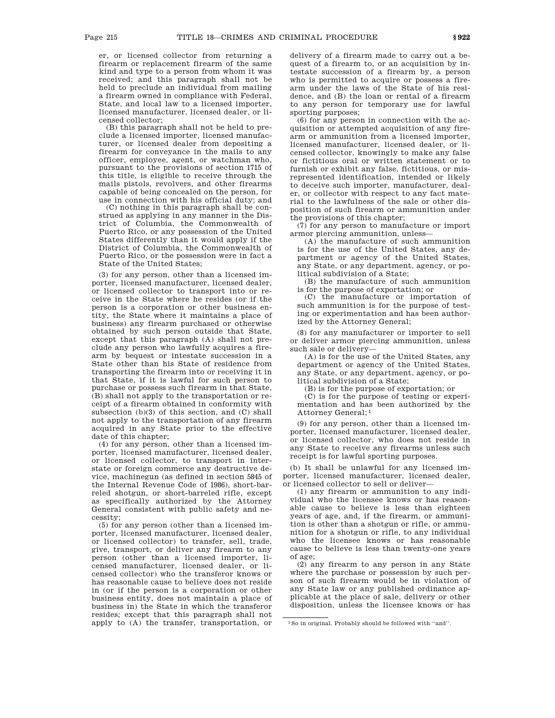er, or licensed collector from returning a firearm or replacement firearm of the same kind and type to a person from whom it was received; and this paragraph shall not be held to preclude an individual from mailing a firearm owned in compliance with Federal, State, and local law to a licensed importer, licensed manufacturer, licensed dealer, or licensed collector;

(B) this paragraph shall not be held to preclude a licensed importer, licensed manufacturer, or licensed dealer from depositing a firearm for conveyance in the mails to any officer, employee, agent, or watchman who, pursuant to the provisions of section 1715 of this title, is eligible to receive through the mails pistols, revolvers, and other firearms capable of being concealed on the person, for use in connection with his official duty; and

(C) nothing in this paragraph shall be construed as applying in any manner in the District of Columbia, the Commonwealth of Puerto Rico, or any possession of the United States differently than it would apply if the District of Columbia, the Commonwealth of Puerto Rico, or the possession were in fact a State of the United States;

(3) for any person, other than a licensed importer, licensed manufacturer, licensed dealer, or licensed collector to transport into or receive in the State where he resides (or if the person is a corporation or other business entity, the State where it maintains a place of business) any firearm purchased or otherwise obtained by such person outside that State, except that this paragraph (A) shall not preclude any person who lawfully acquires a firearm by bequest or intestate succession in a State other than his State of residence from transporting the firearm into or receiving it in that State, if it is lawful for such person to purchase or possess such firearm in that State, (B) shall not apply to the transportation or receipt of a firearm obtained in conformity with subsection (b)(3) of this section, and (C) shall not apply to the transportation of any firearm acquired in any State prior to the effective date of this chapter;

(4) for any person, other than a licensed importer, licensed manufacturer, licensed dealer, or licensed collector, to transport in interstate or foreign commerce any destructive device, machinegun (as defined in section 5845 of the Internal Revenue Code of 1986), short-barreled shotgun, or short-barreled rifle, except as specifically authorized by the Attorney General consistent with public safety and necessity;

(5) for any person (other than a licensed importer, licensed manufacturer, licensed dealer, or licensed collector) to transfer, sell, trade, give, transport, or deliver any firearm to any person (other than a licensed importer, licensed manufacturer, licensed dealer, or licensed collector) who the transferor knows or has reasonable cause to believe does not reside in (or if the person is a corporation or other business entity, does not maintain a place of business in) the State in which the transferor resides; except that this paragraph shall not apply to (A) the transfer, transportation, or

delivery of a firearm made to carry out a bequest of a firearm to, or an acquisition by intestate succession of a firearm by, a person who is permitted to acquire or possess a firearm under the laws of the State of his residence, and (B) the loan or rental of a firearm to any person for temporary use for lawful sporting purposes;

(6) for any person in connection with the acquisition or attempted acquisition of any firearm or ammunition from a licensed importer, licensed manufacturer, licensed dealer, or licensed collector, knowingly to make any false or fictitious oral or written statement or to furnish or exhibit any false, fictitious, or misrepresented identification, intended or likely to deceive such importer, manufacturer, dealer, or collector with respect to any fact material to the lawfulness of the sale or other disposition of such firearm or ammunition under the provisions of this chapter;

(7) for any person to manufacture or import armor piercing ammunition, unless—

(A) the manufacture of such ammunition is for the use of the United States, any department or agency of the United States, any State, or any department, agency, or political subdivision of a State;

(B) the manufacture of such ammunition is for the purpose of exportation; or

(C) the manufacture or importation of such ammunition is for the purpose of testing or experimentation and has been authorized by the Attorney General;

(8) for any manufacturer or importer to sell or deliver armor piercing ammunition, unless such sale or delivery—

(A) is for the use of the United States, any department or agency of the United States, any State, or any department, agency, or political subdivision of a State;

(B) is for the purpose of exportation; or

(C) is for the purpose of testing or experimentation and has been authorized by the Attorney General; 1

(9) for any person, other than a licensed importer, licensed manufacturer, licensed dealer, or licensed collector, who does not reside in any State to receive any firearms unless such receipt is for lawful sporting purposes.

(b) It shall be unlawful for any licensed importer, licensed manufacturer, licensed dealer, or licensed collector to sell or deliver—

(1) any firearm or ammunition to any individual who the licensee knows or has reasonable cause to believe is less than eighteen years of age, and, if the firearm, or ammunition is other than a shotgun or rifle, or ammunition for a shotgun or rifle, to any individual who the licensee knows or has reasonable cause to believe is less than twenty-one years of age;

(2) any firearm to any person in any State where the purchase or possession by such person of such firearm would be in violation of any State law or any published ordinance applicable at the place of sale, delivery or other disposition, unless the licensee knows or has

<sup>1</sup>So in original. Probably should be followed with ''and''.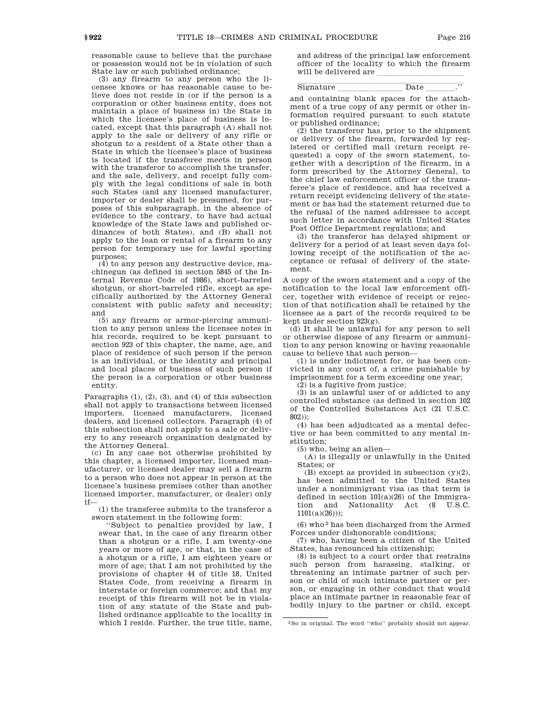reasonable cause to believe that the purchase or possession would not be in violation of such State law or such published ordinance;

(3) any firearm to any person who the licensee knows or has reasonable cause to believe does not reside in (or if the person is a corporation or other business entity, does not maintain a place of business in) the State in which the licensee's place of business is located, except that this paragraph (A) shall not apply to the sale or delivery of any rifle or shotgun to a resident of a State other than a State in which the licensee's place of business is located if the transferee meets in person with the transferor to accomplish the transfer, and the sale, delivery, and receipt fully comply with the legal conditions of sale in both such States (and any licensed manufacturer, importer or dealer shall be presumed, for purposes of this subparagraph, in the absence of evidence to the contrary, to have had actual knowledge of the State laws and published ordinances of both States), and (B) shall not apply to the loan or rental of a firearm to any person for temporary use for lawful sporting purposes;

(4) to any person any destructive device, machinegun (as defined in section 5845 of the Internal Revenue Code of 1986), short-barreled shotgun, or short-barreled rifle, except as specifically authorized by the Attorney General consistent with public safety and necessity; and

(5) any firearm or armor-piercing ammunition to any person unless the licensee notes in his records, required to be kept pursuant to section 923 of this chapter, the name, age, and place of residence of such person if the person is an individual, or the identity and principal and local places of business of such person if the person is a corporation or other business entity.

Paragraphs  $(1)$ ,  $(2)$ ,  $(3)$ , and  $(4)$  of this subsection shall not apply to transactions between licensed importers, licensed manufacturers, licensed dealers, and licensed collectors. Paragraph (4) of this subsection shall not apply to a sale or delivery to any research organization designated by the Attorney General.

(c) In any case not otherwise prohibited by this chapter, a licensed importer, licensed manufacturer, or licensed dealer may sell a firearm to a person who does not appear in person at the licensee's business premises (other than another licensed importer, manufacturer, or dealer) only if—

(1) the transferee submits to the transferor a sworn statement in the following form:

''Subject to penalties provided by law, I swear that, in the case of any firearm other than a shotgun or a rifle, I am twenty-one years or more of age, or that, in the case of a shotgun or a rifle, I am eighteen years or more of age; that I am not prohibited by the provisions of chapter 44 of title 18, United States Code, from receiving a firearm in interstate or foreign commerce; and that my receipt of this firearm will not be in violation of any statute of the State and published ordinance applicable to the locality in which I reside. Further, the true title, name, and address of the principal law enforcement officer of the locality to which the firearm will be delivered are

| Signature |                                             |  | Date |  |  |  |
|-----------|---------------------------------------------|--|------|--|--|--|
|           | and containing blank spaces for the attach- |  |      |  |  |  |

ment of a true copy of any permit or other information required pursuant to such statute or published ordinance;

(2) the transferor has, prior to the shipment or delivery of the firearm, forwarded by registered or certified mail (return receipt requested) a copy of the sworn statement, together with a description of the firearm, in a form prescribed by the Attorney General, to the chief law enforcement officer of the transferee's place of residence, and has received a return receipt evidencing delivery of the statement or has had the statement returned due to the refusal of the named addressee to accept such letter in accordance with United States Post Office Department regulations; and

(3) the transferor has delayed shipment or delivery for a period of at least seven days following receipt of the notification of the acceptance or refusal of delivery of the statement.

A copy of the sworn statement and a copy of the notification to the local law enforcement officer, together with evidence of receipt or rejection of that notification shall be retained by the licensee as a part of the records required to be kept under section 923(g).

(d) It shall be unlawful for any person to sell or otherwise dispose of any firearm or ammunition to any person knowing or having reasonable cause to believe that such person—

(1) is under indictment for, or has been convicted in any court of, a crime punishable by imprisonment for a term exceeding one year;

(2) is a fugitive from justice;

(3) is an unlawful user of or addicted to any controlled substance (as defined in section 102 of the Controlled Substances Act (21 U.S.C. 802));

(4) has been adjudicated as a mental defective or has been committed to any mental institution;

(5) who, being an alien—

(A) is illegally or unlawfully in the United States; or

 $(B)$  except as provided in subsection  $(y)(2)$ , has been admitted to the United States under a nonimmigrant visa (as that term is defined in section 101(a)(26) of the Immigration and Nationality Act (8 U.S.C. 1101(a)(26)));

(6) who 2 has been discharged from the Armed Forces under dishonorable conditions;

(7) who, having been a citizen of the United States, has renounced his citizenship;

(8) is subject to a court order that restrains such person from harassing, stalking, or threatening an intimate partner of such person or child of such intimate partner or person, or engaging in other conduct that would place an intimate partner in reasonable fear of bodily injury to the partner or child, except

2So in original. The word ''who'' probably should not appear.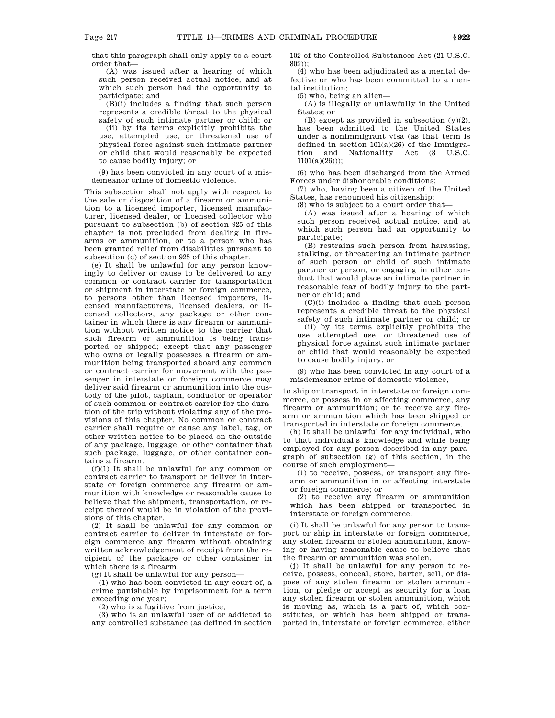that this paragraph shall only apply to a court order that—

(A) was issued after a hearing of which such person received actual notice, and at which such person had the opportunity to participate; and

(B)(i) includes a finding that such person represents a credible threat to the physical safety of such intimate partner or child; or

(ii) by its terms explicitly prohibits the use, attempted use, or threatened use of physical force against such intimate partner or child that would reasonably be expected to cause bodily injury; or

(9) has been convicted in any court of a misdemeanor crime of domestic violence.

This subsection shall not apply with respect to the sale or disposition of a firearm or ammunition to a licensed importer, licensed manufacturer, licensed dealer, or licensed collector who pursuant to subsection (b) of section 925 of this chapter is not precluded from dealing in firearms or ammunition, or to a person who has been granted relief from disabilities pursuant to subsection (c) of section 925 of this chapter.

(e) It shall be unlawful for any person knowingly to deliver or cause to be delivered to any common or contract carrier for transportation or shipment in interstate or foreign commerce, to persons other than licensed importers, licensed manufacturers, licensed dealers, or licensed collectors, any package or other container in which there is any firearm or ammunition without written notice to the carrier that such firearm or ammunition is being transported or shipped; except that any passenger who owns or legally possesses a firearm or ammunition being transported aboard any common or contract carrier for movement with the passenger in interstate or foreign commerce may deliver said firearm or ammunition into the custody of the pilot, captain, conductor or operator of such common or contract carrier for the duration of the trip without violating any of the provisions of this chapter. No common or contract carrier shall require or cause any label, tag, or other written notice to be placed on the outside of any package, luggage, or other container that such package, luggage, or other container contains a firearm.

(f)(1) It shall be unlawful for any common or contract carrier to transport or deliver in interstate or foreign commerce any firearm or ammunition with knowledge or reasonable cause to believe that the shipment, transportation, or receipt thereof would be in violation of the provisions of this chapter.

(2) It shall be unlawful for any common or contract carrier to deliver in interstate or foreign commerce any firearm without obtaining written acknowledgement of receipt from the recipient of the package or other container in which there is a firearm.

(g) It shall be unlawful for any person—

(1) who has been convicted in any court of, a crime punishable by imprisonment for a term exceeding one year;

(2) who is a fugitive from justice;

(3) who is an unlawful user of or addicted to any controlled substance (as defined in section 102 of the Controlled Substances Act (21 U.S.C. 802));

(4) who has been adjudicated as a mental defective or who has been committed to a mental institution;

(5) who, being an alien—

(A) is illegally or unlawfully in the United States; or

(B) except as provided in subsection  $(y)(2)$ , has been admitted to the United States under a nonimmigrant visa (as that term is defined in section 101(a)(26) of the Immigration and Nationality Act (8 U.S.C.  $1101(a)(26))$ ;

(6) who has been discharged from the Armed Forces under dishonorable conditions;

(7) who, having been a citizen of the United States, has renounced his citizenship;

(8) who is subject to a court order that—

(A) was issued after a hearing of which such person received actual notice, and at which such person had an opportunity to participate;

(B) restrains such person from harassing, stalking, or threatening an intimate partner of such person or child of such intimate partner or person, or engaging in other conduct that would place an intimate partner in reasonable fear of bodily injury to the partner or child; and

(C)(i) includes a finding that such person represents a credible threat to the physical safety of such intimate partner or child; or

(ii) by its terms explicitly prohibits the use, attempted use, or threatened use of physical force against such intimate partner or child that would reasonably be expected to cause bodily injury; or

(9) who has been convicted in any court of a misdemeanor crime of domestic violence,

to ship or transport in interstate or foreign commerce, or possess in or affecting commerce, any firearm or ammunition; or to receive any firearm or ammunition which has been shipped or transported in interstate or foreign commerce.

(h) It shall be unlawful for any individual, who to that individual's knowledge and while being employed for any person described in any paragraph of subsection (g) of this section, in the course of such employment—

(1) to receive, possess, or transport any firearm or ammunition in or affecting interstate or foreign commerce; or

(2) to receive any firearm or ammunition which has been shipped or transported in interstate or foreign commerce.

(i) It shall be unlawful for any person to transport or ship in interstate or foreign commerce, any stolen firearm or stolen ammunition, knowing or having reasonable cause to believe that the firearm or ammunition was stolen.

(j) It shall be unlawful for any person to receive, possess, conceal, store, barter, sell, or dispose of any stolen firearm or stolen ammunition, or pledge or accept as security for a loan any stolen firearm or stolen ammunition, which is moving as, which is a part of, which constitutes, or which has been shipped or transported in, interstate or foreign commerce, either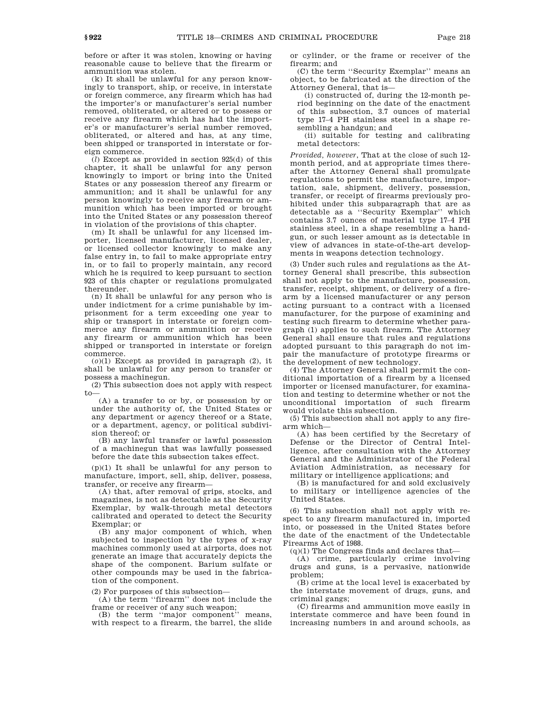before or after it was stolen, knowing or having reasonable cause to believe that the firearm or ammunition was stolen.

(k) It shall be unlawful for any person knowingly to transport, ship, or receive, in interstate or foreign commerce, any firearm which has had the importer's or manufacturer's serial number removed, obliterated, or altered or to possess or receive any firearm which has had the importer's or manufacturer's serial number removed, obliterated, or altered and has, at any time, been shipped or transported in interstate or foreign commerce.

 $(l)$  Except as provided in section 925(d) of this chapter, it shall be unlawful for any person knowingly to import or bring into the United States or any possession thereof any firearm or ammunition; and it shall be unlawful for any person knowingly to receive any firearm or ammunition which has been imported or brought into the United States or any possession thereof in violation of the provisions of this chapter.

(m) It shall be unlawful for any licensed importer, licensed manufacturer, licensed dealer, or licensed collector knowingly to make any false entry in, to fail to make appropriate entry in, or to fail to properly maintain, any record which he is required to keep pursuant to section 923 of this chapter or regulations promulgated thereunder.

(n) It shall be unlawful for any person who is under indictment for a crime punishable by imprisonment for a term exceeding one year to ship or transport in interstate or foreign commerce any firearm or ammunition or receive any firearm or ammunition which has been shipped or transported in interstate or foreign commerce.

(*o*)(1) Except as provided in paragraph (2), it shall be unlawful for any person to transfer or possess a machinegun.

(2) This subsection does not apply with respect to—

(A) a transfer to or by, or possession by or under the authority of, the United States or any department or agency thereof or a State, or a department, agency, or political subdivision thereof; or

(B) any lawful transfer or lawful possession of a machinegun that was lawfully possessed before the date this subsection takes effect.

(p)(1) It shall be unlawful for any person to manufacture, import, sell, ship, deliver, possess, transfer, or receive any firearm—

(A) that, after removal of grips, stocks, and magazines, is not as detectable as the Security Exemplar, by walk-through metal detectors calibrated and operated to detect the Security Exemplar; or

(B) any major component of which, when subjected to inspection by the types of x-ray machines commonly used at airports, does not generate an image that accurately depicts the shape of the component. Barium sulfate or other compounds may be used in the fabrication of the component.

(2) For purposes of this subsection—

(A) the term ''firearm'' does not include the frame or receiver of any such weapon;

(B) the term ''major component'' means, with respect to a firearm, the barrel, the slide or cylinder, or the frame or receiver of the firearm; and

(C) the term ''Security Exemplar'' means an object, to be fabricated at the direction of the Attorney General, that is—

(i) constructed of, during the 12-month period beginning on the date of the enactment of this subsection, 3.7 ounces of material type 17–4 PH stainless steel in a shape resembling a handgun; and

(ii) suitable for testing and calibrating metal detectors:

*Provided, however*, That at the close of such 12 month period, and at appropriate times thereafter the Attorney General shall promulgate regulations to permit the manufacture, importation, sale, shipment, delivery, possession, transfer, or receipt of firearms previously prohibited under this subparagraph that are as detectable as a ''Security Exemplar'' which contains 3.7 ounces of material type 17–4 PH stainless steel, in a shape resembling a handgun, or such lesser amount as is detectable in view of advances in state-of-the-art developments in weapons detection technology.

(3) Under such rules and regulations as the Attorney General shall prescribe, this subsection shall not apply to the manufacture, possession, transfer, receipt, shipment, or delivery of a firearm by a licensed manufacturer or any person acting pursuant to a contract with a licensed manufacturer, for the purpose of examining and testing such firearm to determine whether paragraph (1) applies to such firearm. The Attorney General shall ensure that rules and regulations adopted pursuant to this paragraph do not impair the manufacture of prototype firearms or the development of new technology.

(4) The Attorney General shall permit the conditional importation of a firearm by a licensed importer or licensed manufacturer, for examination and testing to determine whether or not the unconditional importation of such firearm would violate this subsection.

(5) This subsection shall not apply to any firearm which—

(A) has been certified by the Secretary of Defense or the Director of Central Intelligence, after consultation with the Attorney General and the Administrator of the Federal Aviation Administration, as necessary for military or intelligence applications; and

(B) is manufactured for and sold exclusively to military or intelligence agencies of the United States.

(6) This subsection shall not apply with respect to any firearm manufactured in, imported into, or possessed in the United States before the date of the enactment of the Undetectable Firearms Act of 1988.

 $(q)(1)$  The Congress finds and declares that-

(A) crime, particularly crime involving drugs and guns, is a pervasive, nationwide problem;

(B) crime at the local level is exacerbated by the interstate movement of drugs, guns, and criminal gangs;

(C) firearms and ammunition move easily in interstate commerce and have been found in increasing numbers in and around schools, as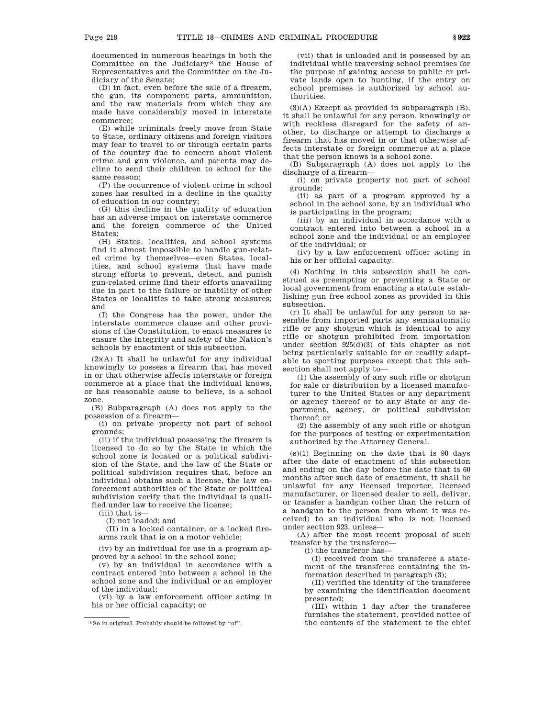documented in numerous hearings in both the Committee on the Judiciary3 the House of Representatives and the Committee on the Judiciary of the Senate;

(D) in fact, even before the sale of a firearm, the gun, its component parts, ammunition, and the raw materials from which they are made have considerably moved in interstate commerce;

(E) while criminals freely move from State to State, ordinary citizens and foreign visitors may fear to travel to or through certain parts of the country due to concern about violent crime and gun violence, and parents may decline to send their children to school for the same reason;

(F) the occurrence of violent crime in school zones has resulted in a decline in the quality of education in our country;

(G) this decline in the quality of education has an adverse impact on interstate commerce and the foreign commerce of the United States;

(H) States, localities, and school systems find it almost impossible to handle gun-related crime by themselves—even States, localities, and school systems that have made strong efforts to prevent, detect, and punish gun-related crime find their efforts unavailing due in part to the failure or inability of other States or localities to take strong measures; and

(I) the Congress has the power, under the interstate commerce clause and other provisions of the Constitution, to enact measures to ensure the integrity and safety of the Nation's schools by enactment of this subsection.

(2)(A) It shall be unlawful for any individual knowingly to possess a firearm that has moved in or that otherwise affects interstate or foreign commerce at a place that the individual knows, or has reasonable cause to believe, is a school zone.

(B) Subparagraph (A) does not apply to the possession of a firearm—

(i) on private property not part of school grounds;

(ii) if the individual possessing the firearm is licensed to do so by the State in which the school zone is located or a political subdivision of the State, and the law of the State or political subdivision requires that, before an individual obtains such a license, the law enforcement authorities of the State or political subdivision verify that the individual is qualified under law to receive the license;

(iii) that is—

(I) not loaded; and

(II) in a locked container, or a locked firearms rack that is on a motor vehicle;

(iv) by an individual for use in a program approved by a school in the school zone;

(v) by an individual in accordance with a contract entered into between a school in the school zone and the individual or an employer of the individual;

(vi) by a law enforcement officer acting in his or her official capacity; or

(vii) that is unloaded and is possessed by an individual while traversing school premises for the purpose of gaining access to public or private lands open to hunting, if the entry on school premises is authorized by school authorities.

(3)(A) Except as provided in subparagraph (B), it shall be unlawful for any person, knowingly or with reckless disregard for the safety of another, to discharge or attempt to discharge a firearm that has moved in or that otherwise affects interstate or foreign commerce at a place that the person knows is a school zone.

(B) Subparagraph (A) does not apply to the discharge of a firearm—

(i) on private property not part of school grounds;

(ii) as part of a program approved by a school in the school zone, by an individual who is participating in the program;

(iii) by an individual in accordance with a contract entered into between a school in a school zone and the individual or an employer of the individual; or

(iv) by a law enforcement officer acting in his or her official capacity.

(4) Nothing in this subsection shall be construed as preempting or preventing a State or local government from enacting a statute establishing gun free school zones as provided in this subsection.

(r) It shall be unlawful for any person to assemble from imported parts any semiautomatic rifle or any shotgun which is identical to any rifle or shotgun prohibited from importation under section 925(d)(3) of this chapter as not being particularly suitable for or readily adaptable to sporting purposes except that this subsection shall not apply to—

(1) the assembly of any such rifle or shotgun for sale or distribution by a licensed manufacturer to the United States or any department or agency thereof or to any State or any department, agency, or political subdivision thereof; or

(2) the assembly of any such rifle or shotgun for the purposes of testing or experimentation authorized by the Attorney General.

(s)(1) Beginning on the date that is 90 days after the date of enactment of this subsection and ending on the day before the date that is 60 months after such date of enactment, it shall be unlawful for any licensed importer, licensed manufacturer, or licensed dealer to sell, deliver, or transfer a handgun (other than the return of a handgun to the person from whom it was received) to an individual who is not licensed under section 923, unless—

(A) after the most recent proposal of such transfer by the transferee—

(i) the transferor has—

(I) received from the transferee a statement of the transferee containing the information described in paragraph (3);

(II) verified the identity of the transferee by examining the identification document presented;

(III) within 1 day after the transferee furnishes the statement, provided notice of the contents of the statement to the chief

<sup>3</sup>So in original. Probably should be followed by ''of''.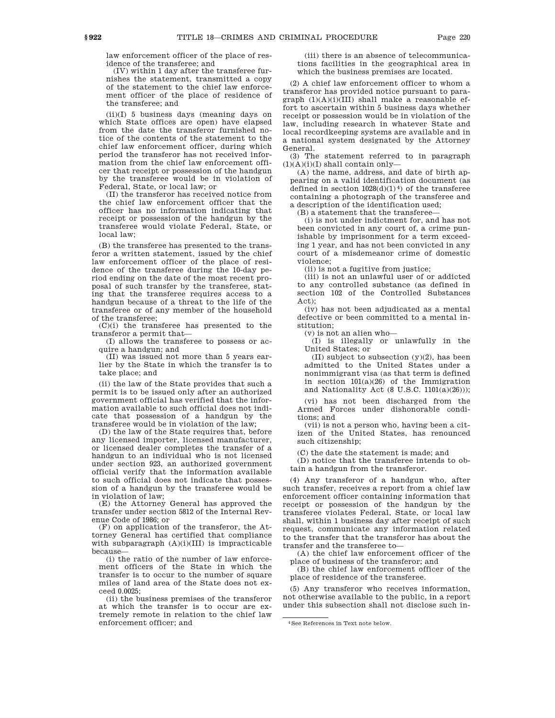law enforcement officer of the place of residence of the transferee; and

(IV) within 1 day after the transferee furnishes the statement, transmitted a copy of the statement to the chief law enforcement officer of the place of residence of the transferee; and

(ii)(I) 5 business days (meaning days on which State offices are open) have elapsed from the date the transferor furnished notice of the contents of the statement to the chief law enforcement officer, during which period the transferor has not received information from the chief law enforcement officer that receipt or possession of the handgun by the transferee would be in violation of Federal, State, or local law; or

(II) the transferor has received notice from the chief law enforcement officer that the officer has no information indicating that receipt or possession of the handgun by the transferee would violate Federal, State, or local law;

(B) the transferee has presented to the transferor a written statement, issued by the chief law enforcement officer of the place of residence of the transferee during the 10-day period ending on the date of the most recent proposal of such transfer by the transferee, stating that the transferee requires access to a handgun because of a threat to the life of the transferee or of any member of the household of the transferee;

(C)(i) the transferee has presented to the transferor a permit that—

(I) allows the transferee to possess or acquire a handgun; and

(II) was issued not more than 5 years earlier by the State in which the transfer is to take place; and

(ii) the law of the State provides that such a permit is to be issued only after an authorized government official has verified that the information available to such official does not indicate that possession of a handgun by the transferee would be in violation of the law;

(D) the law of the State requires that, before any licensed importer, licensed manufacturer, or licensed dealer completes the transfer of a handgun to an individual who is not licensed under section 923, an authorized government official verify that the information available to such official does not indicate that possession of a handgun by the transferee would be in violation of law;

(E) the Attorney General has approved the transfer under section 5812 of the Internal Revenue Code of 1986; or

(F) on application of the transferor, the Attorney General has certified that compliance with subparagraph (A)(i)(III) is impracticable because—

(i) the ratio of the number of law enforcement officers of the State in which the transfer is to occur to the number of square miles of land area of the State does not exceed 0.0025;

(ii) the business premises of the transferor at which the transfer is to occur are extremely remote in relation to the chief law enforcement officer; and

(iii) there is an absence of telecommunications facilities in the geographical area in which the business premises are located.

(2) A chief law enforcement officer to whom a transferor has provided notice pursuant to para $graph (1)(A)(i)(III) shall make a reasonable ef$ fort to ascertain within 5 business days whether receipt or possession would be in violation of the law, including research in whatever State and local recordkeeping systems are available and in a national system designated by the Attorney General.

(3) The statement referred to in paragraph  $(1)(A)(i)(I)$  shall contain only-

(A) the name, address, and date of birth appearing on a valid identification document (as defined in section  $1028(d)(1)^4$ ) of the transferee containing a photograph of the transferee and a description of the identification used;

(B) a statement that the transferee—

(i) is not under indictment for, and has not been convicted in any court of, a crime punishable by imprisonment for a term exceeding 1 year, and has not been convicted in any court of a misdemeanor crime of domestic violence;

(ii) is not a fugitive from justice;

(iii) is not an unlawful user of or addicted to any controlled substance (as defined in section 102 of the Controlled Substances Act);

(iv) has not been adjudicated as a mental defective or been committed to a mental institution;

(v) is not an alien who—

(I) is illegally or unlawfully in the United States; or

(II) subject to subsection  $(y)(2)$ , has been admitted to the United States under a nonimmigrant visa (as that term is defined in section 101(a)(26) of the Immigration and Nationality Act (8 U.S.C. 1101(a)(26)));

(vi) has not been discharged from the Armed Forces under dishonorable conditions; and

(vii) is not a person who, having been a citizen of the United States, has renounced such citizenship;

(C) the date the statement is made; and

(D) notice that the transferee intends to obtain a handgun from the transferor.

(4) Any transferor of a handgun who, after such transfer, receives a report from a chief law enforcement officer containing information that receipt or possession of the handgun by the transferee violates Federal, State, or local law shall, within 1 business day after receipt of such request, communicate any information related to the transfer that the transferor has about the transfer and the transferee to—

(A) the chief law enforcement officer of the place of business of the transferor; and

(B) the chief law enforcement officer of the place of residence of the transferee.

(5) Any transferor who receives information, not otherwise available to the public, in a report under this subsection shall not disclose such in-

<sup>4</sup>See References in Text note below.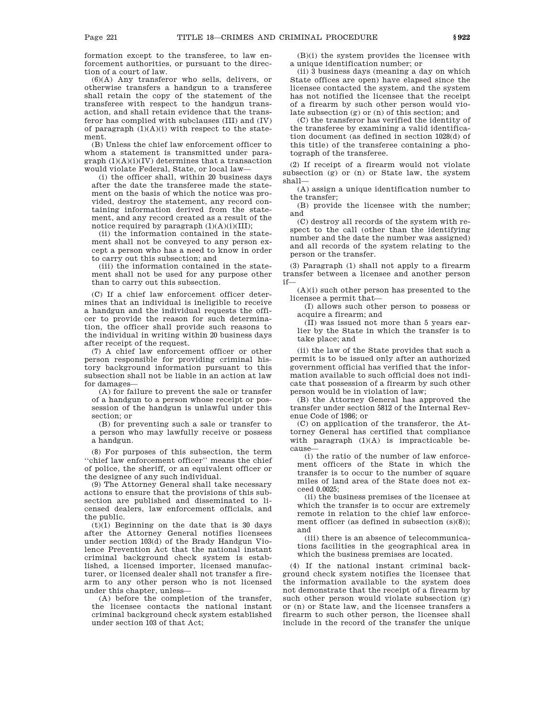formation except to the transferee, to law enforcement authorities, or pursuant to the direction of a court of law.

(6)(A) Any transferor who sells, delivers, or otherwise transfers a handgun to a transferee shall retain the copy of the statement of the transferee with respect to the handgun transaction, and shall retain evidence that the transferor has complied with subclauses (III) and (IV) of paragraph  $(1)(A)(i)$  with respect to the statement.

(B) Unless the chief law enforcement officer to whom a statement is transmitted under para $graph (1)(A)(i)(IV)$  determines that a transaction would violate Federal, State, or local law—

(i) the officer shall, within 20 business days after the date the transferee made the statement on the basis of which the notice was provided, destroy the statement, any record containing information derived from the statement, and any record created as a result of the notice required by paragraph  $(1)(A)(i)(III);$ 

(ii) the information contained in the statement shall not be conveyed to any person except a person who has a need to know in order to carry out this subsection; and

(iii) the information contained in the statement shall not be used for any purpose other than to carry out this subsection.

(C) If a chief law enforcement officer determines that an individual is ineligible to receive a handgun and the individual requests the officer to provide the reason for such determination, the officer shall provide such reasons to the individual in writing within 20 business days after receipt of the request.

(7) A chief law enforcement officer or other person responsible for providing criminal history background information pursuant to this subsection shall not be liable in an action at law for damages—

(A) for failure to prevent the sale or transfer of a handgun to a person whose receipt or possession of the handgun is unlawful under this section; or

(B) for preventing such a sale or transfer to a person who may lawfully receive or possess a handgun.

(8) For purposes of this subsection, the term ''chief law enforcement officer'' means the chief of police, the sheriff, or an equivalent officer or the designee of any such individual.

(9) The Attorney General shall take necessary actions to ensure that the provisions of this subsection are published and disseminated to licensed dealers, law enforcement officials, and the public.

 $(t)(1)$  Beginning on the date that is 30 days after the Attorney General notifies licensees under section 103(d) of the Brady Handgun Violence Prevention Act that the national instant criminal background check system is established, a licensed importer, licensed manufacturer, or licensed dealer shall not transfer a firearm to any other person who is not licensed under this chapter, unless—

(A) before the completion of the transfer, the licensee contacts the national instant criminal background check system established under section 103 of that Act;

(B)(i) the system provides the licensee with a unique identification number; or

(ii) 3 business days (meaning a day on which State offices are open) have elapsed since the licensee contacted the system, and the system has not notified the licensee that the receipt of a firearm by such other person would violate subsection (g) or (n) of this section; and

(C) the transferor has verified the identity of the transferee by examining a valid identification document (as defined in section 1028(d) of this title) of the transferee containing a photograph of the transferee.

(2) If receipt of a firearm would not violate subsection (g) or (n) or State law, the system shall—

(A) assign a unique identification number to the transfer;

(B) provide the licensee with the number; and

(C) destroy all records of the system with respect to the call (other than the identifying number and the date the number was assigned) and all records of the system relating to the person or the transfer.

(3) Paragraph (1) shall not apply to a firearm transfer between a licensee and another person if—

(A)(i) such other person has presented to the licensee a permit that—

(I) allows such other person to possess or acquire a firearm; and

(II) was issued not more than 5 years earlier by the State in which the transfer is to take place; and

(ii) the law of the State provides that such a permit is to be issued only after an authorized government official has verified that the information available to such official does not indicate that possession of a firearm by such other person would be in violation of law;

(B) the Attorney General has approved the transfer under section 5812 of the Internal Revenue Code of 1986; or

(C) on application of the transferor, the Attorney General has certified that compliance with paragraph  $(1)(A)$  is impracticable because—

(i) the ratio of the number of law enforcement officers of the State in which the transfer is to occur to the number of square miles of land area of the State does not exceed 0.0025;

(ii) the business premises of the licensee at which the transfer is to occur are extremely remote in relation to the chief law enforcement officer (as defined in subsection (s)(8)); and

(iii) there is an absence of telecommunications facilities in the geographical area in which the business premises are located.

(4) If the national instant criminal background check system notifies the licensee that the information available to the system does not demonstrate that the receipt of a firearm by such other person would violate subsection (g) or (n) or State law, and the licensee transfers a firearm to such other person, the licensee shall include in the record of the transfer the unique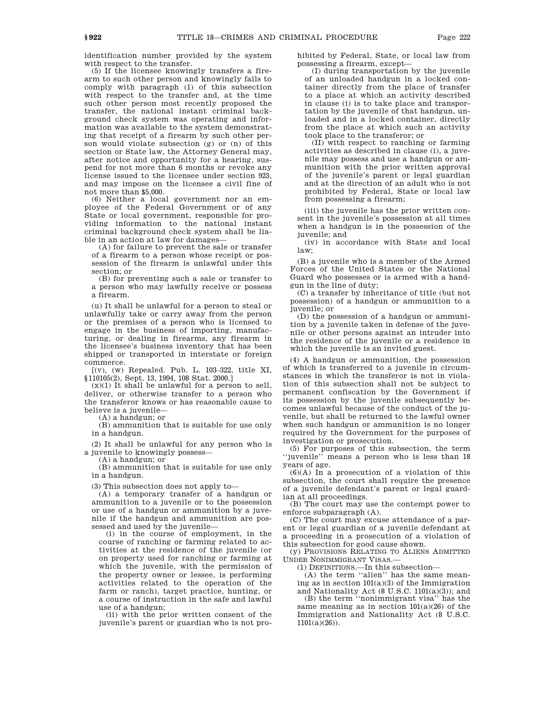identification number provided by the system with respect to the transfer.

(5) If the licensee knowingly transfers a firearm to such other person and knowingly fails to comply with paragraph (1) of this subsection with respect to the transfer and, at the time such other person most recently proposed the transfer, the national instant criminal background check system was operating and information was available to the system demonstrating that receipt of a firearm by such other person would violate subsection (g) or (n) of this section or State law, the Attorney General may, after notice and opportunity for a hearing, suspend for not more than 6 months or revoke any license issued to the licensee under section 923, and may impose on the licensee a civil fine of not more than \$5,000.

(6) Neither a local government nor an employee of the Federal Government or of any State or local government, responsible for providing information to the national instant criminal background check system shall be liable in an action at law for damages—

(A) for failure to prevent the sale or transfer of a firearm to a person whose receipt or possession of the firearm is unlawful under this section; or

(B) for preventing such a sale or transfer to a person who may lawfully receive or possess a firearm.

(u) It shall be unlawful for a person to steal or unlawfully take or carry away from the person or the premises of a person who is licensed to engage in the business of importing, manufacturing, or dealing in firearms, any firearm in the licensee's business inventory that has been shipped or transported in interstate or foreign commerce.

[(v), (w) Repealed. Pub. L. 103–322, title XI, §110105(2), Sept. 13, 1994, 108 Stat. 2000.]

 $(x)(1)$  It shall be unlawful for a person to sell, deliver, or otherwise transfer to a person who the transferor knows or has reasonable cause to believe is a juvenile—

(A) a handgun; or

(B) ammunition that is suitable for use only in a handgun.

(2) It shall be unlawful for any person who is a juvenile to knowingly possess—

(A) a handgun; or

(B) ammunition that is suitable for use only in a handgun.

(3) This subsection does not apply to—

(A) a temporary transfer of a handgun or ammunition to a juvenile or to the possession or use of a handgun or ammunition by a juvenile if the handgun and ammunition are possessed and used by the juvenile—

(i) in the course of employment, in the course of ranching or farming related to activities at the residence of the juvenile (or on property used for ranching or farming at which the juvenile, with the permission of the property owner or lessee, is performing activities related to the operation of the farm or ranch), target practice, hunting, or a course of instruction in the safe and lawful use of a handgun;

(ii) with the prior written consent of the juvenile's parent or guardian who is not prohibited by Federal, State, or local law from possessing a firearm, except—

(I) during transportation by the juvenile of an unloaded handgun in a locked container directly from the place of transfer to a place at which an activity described in clause (i) is to take place and transportation by the juvenile of that handgun, unloaded and in a locked container, directly from the place at which such an activity took place to the transferor; or

(II) with respect to ranching or farming activities as described in clause (i), a juvenile may possess and use a handgun or ammunition with the prior written approval of the juvenile's parent or legal guardian and at the direction of an adult who is not prohibited by Federal, State or local law from possessing a firearm;

(iii) the juvenile has the prior written consent in the juvenile's possession at all times when a handgun is in the possession of the juvenile; and

(iv) in accordance with State and local law;

(B) a juvenile who is a member of the Armed Forces of the United States or the National Guard who possesses or is armed with a handgun in the line of duty;

(C) a transfer by inheritance of title (but not possession) of a handgun or ammunition to a juvenile; or

(D) the possession of a handgun or ammunition by a juvenile taken in defense of the juvenile or other persons against an intruder into the residence of the juvenile or a residence in which the juvenile is an invited guest.

(4) A handgun or ammunition, the possession of which is transferred to a juvenile in circumstances in which the transferor is not in violation of this subsection shall not be subject to permanent confiscation by the Government if its possession by the juvenile subsequently becomes unlawful because of the conduct of the juvenile, but shall be returned to the lawful owner when such handgun or ammunition is no longer required by the Government for the purposes of investigation or prosecution.

(5) For purposes of this subsection, the term ''juvenile'' means a person who is less than 18 years of age.

 $(6)(A)$  In a prosecution of a violation of this subsection, the court shall require the presence of a juvenile defendant's parent or legal guardian at all proceedings.

(B) The court may use the contempt power to enforce subparagraph (A).

(C) The court may excuse attendance of a parent or legal guardian of a juvenile defendant at a proceeding in a prosecution of a violation of this subsection for good cause shown.

(y) PROVISIONS RELATING TO ALIENS ADMITTED UNDER NONIMMIGRANT VISAS.—

(1) DEFINITIONS.—In this subsection—

(A) the term ''alien'' has the same meaning as in section  $101(a)(3)$  of the Immigration and Nationality Act (8 U.S.C. 1101(a)(3)); and

(B) the term ''nonimmigrant visa'' has the same meaning as in section  $101(a)(26)$  of the Immigration and Nationality Act (8 U.S.C. 1101(a)(26)).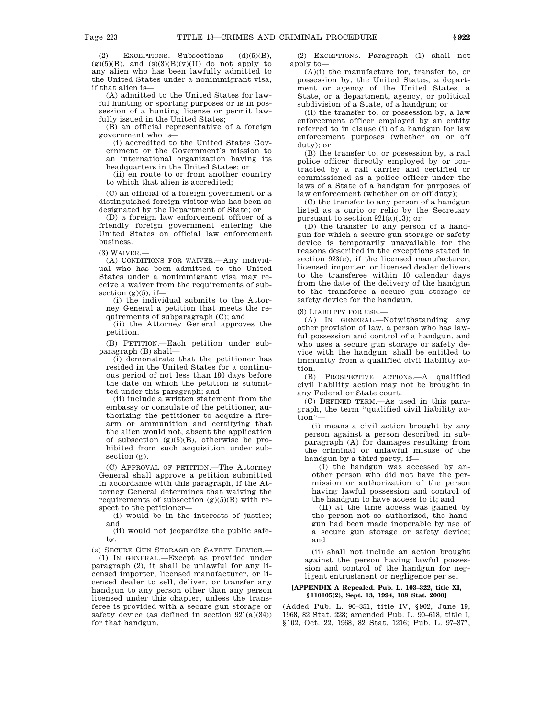(2) EXCEPTIONS.—Subsections  $(d)(5)(B)$ ,  $(g)(5)(B)$ , and  $(s)(3)(B)(v)(II)$  do not apply to any alien who has been lawfully admitted to the United States under a nonimmigrant visa, if that alien is—

(A) admitted to the United States for lawful hunting or sporting purposes or is in possession of a hunting license or permit lawfully issued in the United States;

(B) an official representative of a foreign government who is—

(i) accredited to the United States Government or the Government's mission to an international organization having its headquarters in the United States; or

(ii) en route to or from another country to which that alien is accredited;

(C) an official of a foreign government or a distinguished foreign visitor who has been so designated by the Department of State; or

(D) a foreign law enforcement officer of a friendly foreign government entering the United States on official law enforcement business.

(3) WAIVER.—

(A) CONDITIONS FOR WAIVER.—Any individual who has been admitted to the United States under a nonimmigrant visa may receive a waiver from the requirements of subsection  $(g)(5)$ , if-

(i) the individual submits to the Attorney General a petition that meets the requirements of subparagraph (C); and

(ii) the Attorney General approves the petition.

(B) PETITION.—Each petition under subparagraph (B) shall—

(i) demonstrate that the petitioner has resided in the United States for a continuous period of not less than 180 days before the date on which the petition is submitted under this paragraph; and

(ii) include a written statement from the embassy or consulate of the petitioner, authorizing the petitioner to acquire a firearm or ammunition and certifying that the alien would not, absent the application of subsection  $(g)(5)(B)$ , otherwise be prohibited from such acquisition under subsection (g).

(C) APPROVAL OF PETITION.—The Attorney General shall approve a petition submitted in accordance with this paragraph, if the Attorney General determines that waiving the requirements of subsection  $(g)(5)(B)$  with respect to the petitioner—

(i) would be in the interests of justice; and

(ii) would not jeopardize the public safety.

(z) SECURE GUN STORAGE OR SAFETY DEVICE.—

(1) IN GENERAL.—Except as provided under paragraph (2), it shall be unlawful for any licensed importer, licensed manufacturer, or licensed dealer to sell, deliver, or transfer any handgun to any person other than any person licensed under this chapter, unless the transferee is provided with a secure gun storage or safety device (as defined in section  $921(a)(34)$ ) for that handgun.

(2) EXCEPTIONS.—Paragraph (1) shall not apply to—

(A)(i) the manufacture for, transfer to, or possession by, the United States, a department or agency of the United States, a State, or a department, agency, or political subdivision of a State, of a handgun; or

(ii) the transfer to, or possession by, a law enforcement officer employed by an entity referred to in clause (i) of a handgun for law enforcement purposes (whether on or off duty); or

(B) the transfer to, or possession by, a rail police officer directly employed by or contracted by a rail carrier and certified or commissioned as a police officer under the laws of a State of a handgun for purposes of law enforcement (whether on or off duty);

(C) the transfer to any person of a handgun listed as a curio or relic by the Secretary pursuant to section 921(a)(13); or

(D) the transfer to any person of a handgun for which a secure gun storage or safety device is temporarily unavailable for the reasons described in the exceptions stated in section 923(e), if the licensed manufacturer, licensed importer, or licensed dealer delivers to the transferee within 10 calendar days from the date of the delivery of the handgun to the transferee a secure gun storage or safety device for the handgun.

(3) LIABILITY FOR USE.—

(A) IN GENERAL.—Notwithstanding any other provision of law, a person who has lawful possession and control of a handgun, and who uses a secure gun storage or safety device with the handgun, shall be entitled to immunity from a qualified civil liability action.

(B) PROSPECTIVE ACTIONS.—A qualified civil liability action may not be brought in any Federal or State court.

(C) DEFINED TERM.—As used in this paragraph, the term ''qualified civil liability action''—

(i) means a civil action brought by any person against a person described in subparagraph (A) for damages resulting from the criminal or unlawful misuse of the handgun by a third party, if—

(I) the handgun was accessed by another person who did not have the permission or authorization of the person having lawful possession and control of the handgun to have access to it; and

(II) at the time access was gained by the person not so authorized, the handgun had been made inoperable by use of a secure gun storage or safety device; and

(ii) shall not include an action brought against the person having lawful possession and control of the handgun for negligent entrustment or negligence per se.

# **[APPENDIX A Repealed. Pub. L. 103–322, title XI, § 110105(2), Sept. 13, 1994, 108 Stat. 2000]**

(Added Pub. L. 90–351, title IV, §902, June 19, 1968, 82 Stat. 228; amended Pub. L. 90–618, title I, §102, Oct. 22, 1968, 82 Stat. 1216; Pub. L. 97–377,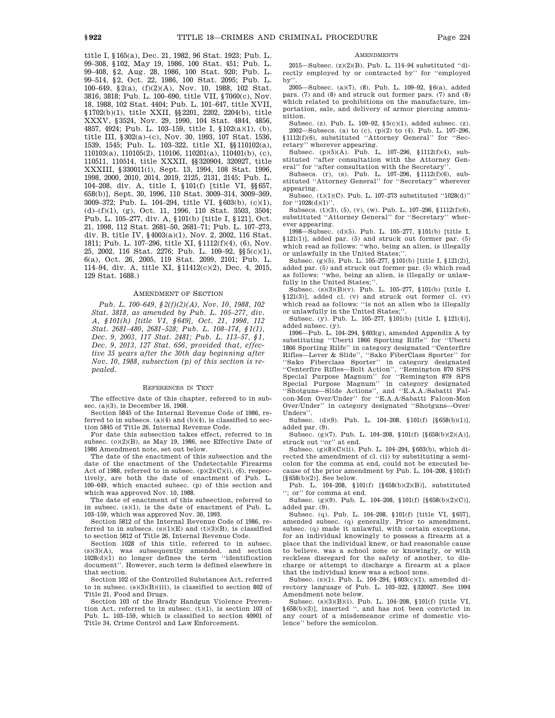title I, §165(a), Dec. 21, 1982, 96 Stat. 1923; Pub. L. 99–308, §102, May 19, 1986, 100 Stat. 451; Pub. L. 99–408, §2, Aug. 28, 1986, 100 Stat. 920; Pub. L. 99–514, §2, Oct. 22, 1986, 100 Stat. 2095; Pub. L. 100–649, §2(a), (f)(2)(A), Nov. 10, 1988, 102 Stat. 3816, 3818; Pub. L. 100–690, title VII, §7060(c), Nov. 18, 1988, 102 Stat. 4404; Pub. L. 101–647, title XVII, §1702(b)(1), title XXII, §§2201, 2202, 2204(b), title XXXV, §3524, Nov. 29, 1990, 104 Stat. 4844, 4856, 4857, 4924; Pub. L. 103–159, title I, §102(a)(1), (b), title III, §302(a)–(c), Nov. 30, 1993, 107 Stat. 1536, 1539, 1545; Pub. L. 103–322, title XI, §§110102(a), 110103(a), 110105(2), 110106, 110201(a), 110401(b), (c), 110511, 110514, title XXXII, §§320904, 320927, title XXXIII, §330011(i), Sept. 13, 1994, 108 Stat. 1996, 1998, 2000, 2010, 2014, 2019, 2125, 2131, 2145; Pub. L. 104–208, div. A, title I, §101(f) [title VI, §§657, 658(b)], Sept. 30, 1996, 110 Stat. 3009–314, 3009–369, 3009–372; Pub. L. 104–294, title VI, §603(b), (c)(1), (d)–(f)(1), (g), Oct. 11, 1996, 110 Stat. 3503, 3504; Pub. L. 105–277, div. A, §101(b) [title I, §121], Oct. 21, 1998, 112 Stat. 2681–50, 2681–71; Pub. L. 107–273, div. B, title IV, §4003(a)(1), Nov. 2, 2002, 116 Stat. 1811; Pub. L. 107–296, title XI, §1112(f)(4), (6), Nov. 25, 2002, 116 Stat. 2276; Pub. L. 109–92, §§5(c)(1), 6(a), Oct. 26, 2005, 119 Stat. 2099, 2101; Pub. L. 114–94, div. A, title XI, §11412(c)(2), Dec. 4, 2015, 129 Stat. 1688.)

## AMENDMENT OF SECTION

*Pub. L. 100–649, §2(f)(2)(A), Nov. 10, 1988, 102 Stat. 3818, as amended by Pub. L. 105–277, div. A, §101(h) [title VI, §649], Oct. 21, 1998, 112 Stat. 2681–480, 2681–528; Pub. L. 108–174, §1(1), Dec. 9, 2003, 117 Stat. 2481; Pub. L. 113–57, §1, Dec. 9, 2013, 127 Stat. 656, provided that, effective 35 years after the 30th day beginning after Nov. 10, 1988, subsection (p) of this section is repealed.*

# REFERENCES IN TEXT

The effective date of this chapter, referred to in subsec. (a)(3), is December 16, 1968.

Section 5845 of the Internal Revenue Code of 1986, referred to in subsecs.  $(a)(4)$  and  $(b)(4)$ , is classified to section 5845 of Title 26, Internal Revenue Code.

For date this subsection takes effect, referred to in subsec. (*o*)(2)(B), as May 19, 1986, see Effective Date of 1986 Amendment note, set out below.

The date of the enactment of this subsection and the date of the enactment of the Undetectable Firearms Act of 1988, referred to in subsec.  $(p)(2)(C)(i)$ ,  $(6)$ , respectively, are both the date of enactment of Pub. L. 100–649, which enacted subsec. (p) of this section and which was approved Nov. 10, 1988.

The date of enactment of this subsection, referred to in subsec. (s)(1), is the date of enactment of Pub. L. 103–159, which was approved Nov. 30, 1993.

Section 5812 of the Internal Revenue Code of 1986, referred to in subsecs.  $(s)(1)(E)$  and  $(t)(3)(B)$ , is classified to section 5812 of Title 26, Internal Revenue Code.

Section 1028 of this title, referred to in subsec. (s)(3)(A), was subsequently amended, and section  $1028(d)(1)$  no longer defines the term "identification" document''. However, such term is defined elsewhere in that section.

Section 102 of the Controlled Substances Act, referred to in subsec. (s)(3)(B)(iii), is classified to section 802 of Title 21, Food and Drugs.

Section 103 of the Brady Handgun Violence Prevention Act, referred to in subsec. (t)(1), is section 103 of Pub. L. 103–159, which is classified to section 40901 of Title 34, Crime Control and Law Enforcement.

## **AMENDMENTS**

2015—Subsec. (z)(2)(B). Pub. L. 114–94 substituted ''directly employed by or contracted by'' for ''employed by''.

2005—Subsec. (a)(7), (8). Pub. L. 109–92, §6(a), added pars. (7) and (8) and struck out former pars. (7) and (8) which related to prohibitions on the manufacture, importation, sale, and delivery of armor piercing ammunition.

Subsec. (z). Pub. L. 109–92, §5(c)(1), added subsec. (z). 2002—Subsecs. (a) to (c), (p)(2) to (4). Pub. L. 107–296, §1112(f)(6), substituted ''Attorney General'' for ''Secretary'' wherever appearing.

Subsec. (p)(5)(A). Pub. L. 107-296, §1112(f)(4), substituted ''after consultation with the Attorney General" for "after consultation with the Secretary'

Subsecs. (r), (s). Pub. L. 107–296, §1112(f)(6), substituted ''Attorney General'' for ''Secretary'' wherever appearing.

Subsec. (t)(1)(C). Pub. L. 107–273 substituted "1028(d)" for  $"1028(d)(1)"$ 

Subsecs. (t)(3), (5), (v), (w). Pub. L. 107–296, §1112(f)(6), substituted ''Attorney General'' for ''Secretary'' wherever appearing.

1998—Subsec. (d)(5). Pub. L. 105–277, §101(b) [title I, §121(1)], added par. (5) and struck out former par. (5) which read as follows: ''who, being an alien, is illegally or unlawfully in the United States;''.

Subsec. (g)(5). Pub. L. 105–277, §101(b) [title I, §121(2)], added par. (5) and struck out former par. (5) which read as follows: ''who, being an alien, is illegally or unlawfully in the United States;"

Subsec. (s)(3)(B)(v). Pub. L. 105–277, §101(b) [title I, §121(3)], added cl. (v) and struck out former cl. (v) which read as follows: "is not an alien who is illegally or unlawfully in the United States;''.

Subsec. (y). Pub. L. 105–277, §101(b) [title I, §121(4)], added subsec. (y).

1996—Pub. L. 104–294, §603(g), amended Appendix A by substituting ''Uberti 1866 Sporting Rifle'' for ''Uberti 1866 Sporting Rilfe'' in category designated ''Centerfire Rifles—Lever & Slide'', ''Sako FiberClass Sporter'' for White Level women, which is a category designated "Sako Fiberclass Sporter" in category designated ''Centerfire Rifles—Bolt Action'', ''Remington 870 SPS Special Purpose Magnum'' for ''Remington 879 SPS Special Purpose Magnum'' in category designated ''Shotguns—Slide Actions'', and ''E.A.A./Sabatti Falcon-Mon Over/Under'' for ''E.A.A/Sabatti Falcon-Mon Over/Under'' in category designated ''Shotguns—Over/ Unders''.

Subsec. (d)(9). Pub. L. 104–208, §101(f) [§658(b)(1)], added par. (9).

Subsec. (g)(7). Pub. L. 104–208, §101(f) [§658(b)(2)(A)], struck out "or" at end.

Subsec. (g)(8)(C)(ii). Pub. L. 104–294, §603(b), which directed the amendment of cl. (ii) by substituting a semicolon for the comma at end, could not be executed because of the prior amendment by Pub. L. 104–208, §101(f) [§658(b)(2)]. See below.

Pub. L. 104–208, §101(f) [§658(b)(2)(B)], substituted ''; or'' for comma at end.

Subsec. (g)(9). Pub. L. 104–208, §101(f) [§658(b)(2)(C)], added par. (9).

Subsec. (q). Pub. L. 104–208, §101(f) [title VI, §657], amended subsec. (q) generally. Prior to amendment, subsec. (q) made it unlawful, with certain exceptions, for an individual knowingly to possess a firearm at a place that the individual knew, or had reasonable cause to believe, was a school zone or knowingly, or with reckless disregard for the safety of another, to discharge or attempt to discharge a firearm at a place that the individual knew was a school zone.

Subsec. (s)(1). Pub. L. 104–294, §603(c)(1), amended directory language of Pub. L. 103–322, §320927. See 1994 Amendment note below.

Subsec. (s)(3)(B)(i). Pub. L. 104–208, §101(f) [title VI,  $§658(b)(3)$ , inserted ", and has not been convicted in any court of a misdemeanor crime of domestic violence'' before the semicolon.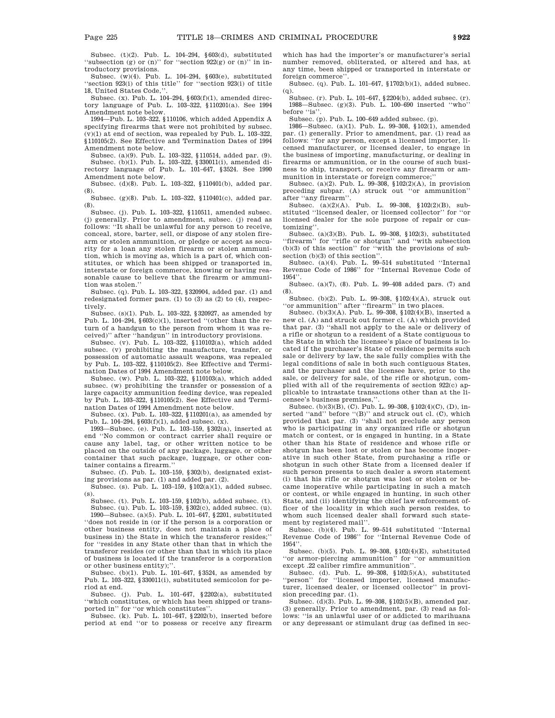Subsec. (t)(2). Pub. L. 104–294, §603(d), substituted "subsection (g) or (n)" for "section  $922(g)$  or (n)" in introductory provisions.

Subsec. (w)(4). Pub. L. 104–294, §603(e), substituted ''section 923(i) of this title'' for ''section 923(i) of title 18, United States Code,

Subsec. (x). Pub. L. 104–294, §603(f)(1), amended directory language of Pub. L. 103–322, §110201(a). See 1994 Amendment note below.

1994—Pub. L. 103–322, §110106, which added Appendix A specifying firearms that were not prohibited by subsec.  $(v)(1)$  at end of section, was repealed by Pub. L. 103-322, §110105(2). See Effective and Termination Dates of 1994 Amendment note below.

Subsec. (a)(9). Pub. L. 103–322, §110514, added par. (9). Subsec. (b)(1). Pub. L. 103–322, §330011(i), amended directory language of Pub. L. 101–647, §3524. See 1990 Amendment note below.

Subsec. (d)(8). Pub. L. 103–322, §110401(b), added par. (8).

Subsec. (g)(8). Pub. L. 103–322, §110401(c), added par. (8).

Subsec. (j). Pub. L. 103–322, §110511, amended subsec. (j) generally. Prior to amendment, subsec. (j) read as follows: ''It shall be unlawful for any person to receive, conceal, store, barter, sell, or dispose of any stolen firearm or stolen ammunition, or pledge or accept as security for a loan any stolen firearm or stolen ammunition, which is moving as, which is a part of, which constitutes, or which has been shipped or transported in, interstate or foreign commerce, knowing or having reasonable cause to believe that the firearm or ammunition was stolen.''

Subsec. (q). Pub. L. 103–322, §320904, added par. (1) and redesignated former pars. (1) to (3) as (2) to (4), respectively.

Subsec. (s)(1). Pub. L. 103–322, §320927, as amended by Pub. L. 104–294,  $§603(c)(1)$ , inserted "(other than the return of a handgun to the person from whom it was received)'' after ''handgun'' in introductory provisions.

Subsec. (v). Pub. L. 103–322, §110102(a), which added subsec. (v) prohibiting the manufacture, transfer, or possession of automatic assault weapons, was repealed by Pub. L. 103–322, §110105(2). See Effective and Termination Dates of 1994 Amendment note below.

Subsec. (w). Pub. L. 103–322, §110103(a), which added subsec. (w) prohibiting the transfer or possession of a large capacity ammunition feeding device, was repealed by Pub. L. 103–322, §110105(2). See Effective and Termination Dates of 1994 Amendment note below.

Subsec. (x). Pub. L. 103–322, §110201(a), as amended by

Pub. L. 104–294, §603(f)(1), added subsec. (x). 1993—Subsec. (e). Pub. L. 103–159, §302(a), inserted at end ''No common or contract carrier shall require or cause any label, tag, or other written notice to be placed on the outside of any package, luggage, or other container that such package, luggage, or other container contains a firearm.

Subsec. (f). Pub. L. 103–159, §302(b), designated existing provisions as par. (1) and added par. (2).

Subsec. (s). Pub. L. 103–159, §102(a)(1), added subsec. (s).

Subsec. (t). Pub. L. 103–159, §102(b), added subsec. (t). Subsec. (u). Pub. L. 103–159, §302(c), added subsec. (u).

1990—Subsec. (a)(5). Pub. L. 101–647, §2201, substituted ''does not reside in (or if the person is a corporation or other business entity, does not maintain a place of business in) the State in which the transferor resides;'' for ''resides in any State other than that in which the transferor resides (or other than that in which its place of business is located if the transferor is a corporation or other business entity);''.

Subsec. (b)(1). Pub. L. 101–647, §3524, as amended by Pub. L. 103–322, §330011(i), substituted semicolon for period at end.

Subsec. (j). Pub. L. 101–647,  $\S 2202(a),$  substituted ''which constitutes, or which has been shipped or transported in'' for ''or which constitutes''.

Subsec. (k). Pub. L. 101–647, §2202(b), inserted before period at end ''or to possess or receive any firearm which has had the importer's or manufacturer's serial number removed, obliterated, or altered and has, at any time, been shipped or transported in interstate or foreign commerce''.

Subsec. (q). Pub. L. 101–647, §1702(b)(1), added subsec. (q).

Subsec. (r). Pub. L. 101–647, §2204(b), added subsec. (r). 1988—Subsec. (g)(3). Pub. L. 100–690 inserted ''who'' before "is".

Subsec. (p). Pub. L. 100–649 added subsec. (p).

1986—Subsec. (a)(1). Pub. L. 99–308, §102(1), amended par. (1) generally. Prior to amendment, par. (1) read as follows: ''for any person, except a licensed importer, licensed manufacturer, or licensed dealer, to engage in the business of importing, manufacturing, or dealing in firearms or ammunition, or in the course of such business to ship, transport, or receive any firearm or ammunition in interstate or foreign commerce;

Subsec. (a)(2). Pub. L. 99–308, §102(2)(A), in provision preceding subpar. (A) struck out ''or ammunition'' after ''any firearm''.

Subsec. (a)(2)(A). Pub. L. 99–308, §102(2)(B), substituted ''licensed dealer, or licensed collector'' for ''or licensed dealer for the sole purpose of repair or customizing''.

Subsec. (a)(3)(B). Pub. L. 99–308, §102(3), substituted ''firearm'' for ''rifle or shotgun'' and ''with subsection (b)(3) of this section'' for ''with the provisions of subsection (b)(3) of this section''.

Subsec. (a)(4). Pub. L. 99–514 substituted ''Internal Revenue Code of 1986'' for ''Internal Revenue Code of 1954''.

Subsec. (a)(7), (8). Pub. L. 99–408 added pars. (7) and (8).

Subsec. (b)(2). Pub. L. 99–308, §102(4)(A), struck out 'or ammunition'' after "firearm" in two places.

Subsec. (b)(3)(A). Pub. L. 99–308, §102(4)(B), inserted a new cl. (A) and struck out former cl. (A) which provided that par. (3) ''shall not apply to the sale or delivery of a rifle or shotgun to a resident of a State contiguous to the State in which the licensee's place of business is located if the purchaser's State of residence permits such sale or delivery by law, the sale fully complies with the legal conditions of sale in both such contiguous States, and the purchaser and the licensee have, prior to the sale, or delivery for sale, of the rifle or shotgun, complied with all of the requirements of section 922(c) applicable to intrastate transactions other than at the licensee's business premises,'

Subsec. (b)(3)(B), (C). Pub. L. 99–308, §102(4)(C), (D), inserted "and" before "(B)" and struck out cl. (C), which provided that par. (3) ''shall not preclude any person who is participating in any organized rifle or shotgun match or contest, or is engaged in hunting, in a State other than his State of residence and whose rifle or shotgun has been lost or stolen or has become inoperative in such other State, from purchasing a rifle or shotgun in such other State from a licensed dealer if such person presents to such dealer a sworn statement (i) that his rifle or shotgun was lost or stolen or became inoperative while participating in such a match or contest, or while engaged in hunting, in such other State, and (ii) identifying the chief law enforcement officer of the locality in which such person resides, to whom such licensed dealer shall forward such statement by registered mail''.

Subsec. (b)(4). Pub. L. 99–514 substituted ''Internal Revenue Code of 1986'' for ''Internal Revenue Code of 1954''.

Subsec. (b)(5). Pub. L. 99–308, §102(4)(E), substituted ''or armor-piercing ammunition'' for ''or ammunition except .22 caliber rimfire ammunition''.

Subsec. (d). Pub. L. 99–308, §102(5)(A), substituted ''person'' for ''licensed importer, licensed manufac-turer, licensed dealer, or licensed collector'' in provision preceding par. (1).

Subsec. (d)(3). Pub. L. 99–308, §102(5)(B), amended par. (3) generally. Prior to amendment, par. (3) read as follows: ''is an unlawful user of or addicted to marihuana or any depressant or stimulant drug (as defined in sec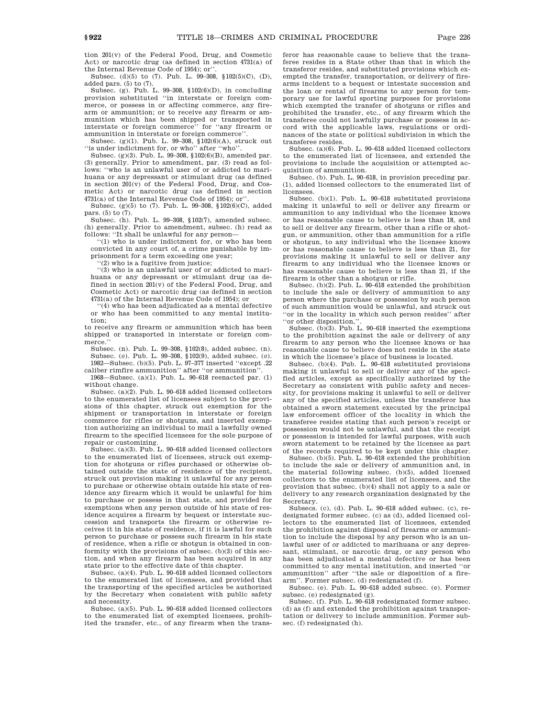tion 201(v) of the Federal Food, Drug, and Cosmetic Act) or narcotic drug (as defined in section 4731(a) of the Internal Revenue Code of 1954); or''.

Subsec. (d)(5) to (7). Pub. L. 99–308, §102(5)(C), (D), added pars. (5) to (7).

Subsec. (g). Pub. L. 99–308, §102(6)(D), in concluding provision substituted ''in interstate or foreign commerce, or possess in or affecting commerce, any firearm or ammunition; or to receive any firearm or ammunition which has been shipped or transported in interstate or foreign commerce'' for ''any firearm or ammunition in interstate or foreign commerce''.

Subsec. (g)(1). Pub. L. 99–308, §102(6)(A), struck out ''is under indictment for, or who'' after ''who''.

Subsec. (g)(3). Pub. L. 99–308, §102(6)(B), amended par. (3) generally. Prior to amendment, par. (3) read as follows: ''who is an unlawful user of or addicted to marihuana or any depressant or stimulant drug (as defined in section 201(v) of the Federal Food, Drug, and Cosmetic Act) or narcotic drug (as defined in section 4731(a) of the Internal Revenue Code of 1954); or'

Subsec. (g)(5) to (7). Pub. L. 99–308, §102(6)(C), added pars. (5) to (7).

Subsec. (h). Pub. L. 99–308, §102(7), amended subsec. (h) generally. Prior to amendment, subsec. (h) read as follows: ''It shall be unlawful for any person—

''(1) who is under indictment for, or who has been convicted in any court of, a crime punishable by imprisonment for a term exceeding one year;

(2) who is a fugitive from justice;

''(3) who is an unlawful user of or addicted to marihuana or any depressant or stimulant drug (as defined in section 201(v) of the Federal Food, Drug, and Cosmetic Act) or narcotic drug (as defined in section 4731(a) of the Internal Revenue Code of 1954); or

''(4) who has been adjudicated as a mental defective or who has been committed to any mental institution;

to receive any firearm or ammunition which has been shipped or transported in interstate or foreign commerce.'

Subsec. (n). Pub. L. 99–308, §102(8), added subsec. (n). Subsec. (*o*). Pub. L. 99–308, §102(9), added subsec. (*o*). 1982—Subsec. (b)(5). Pub. L. 97–377 inserted ''except .22

caliber rimfire ammunition'' after ''or ammunition''. 1968—Subsec. (a)(1). Pub. L. 90–618 reenacted par. (1)

without change.

Subsec. (a)(2). Pub. L. 90–618 added licensed collectors to the enumerated list of licensees subject to the provisions of this chapter, struck out exemption for the shipment or transportation in interstate or foreign commerce for rifles or shotguns, and inserted exemption authorizing an individual to mail a lawfully owned firearm to the specified licensees for the sole purpose of repair or customizing.

Subsec. (a)(3). Pub. L. 90–618 added licensed collectors to the enumerated list of licensees, struck out exemption for shotguns or rifles purchased or otherwise obtained outside the state of residence of the recipient, struck out provision making it unlawful for any person to purchase or otherwise obtain outside his state of residence any firearm which it would be unlawful for him to purchase or possess in that state, and provided for exemptions when any person outside of his state of residence acquires a firearm by bequest or interstate succession and transports the firearm or otherwise receives it in his state of residence, if it is lawful for such person to purchase or possess such firearm in his state of residence, when a rifle or shotgun is obtained in conformity with the provisions of subsec. (b)(3) of this section, and when any firearm has been acquired in any state prior to the effective date of this chapter.

Subsec. (a)(4). Pub. L. 90–618 added licensed collectors to the enumerated list of licensees, and provided that the transporting of the specified articles be authorized by the Secretary when consistent with public safety and necessity.

Subsec. (a)(5). Pub. L. 90–618 added licensed collectors to the enumerated list of exempted licensees, prohibited the transfer, etc., of any firearm when the transferor has reasonable cause to believe that the transferee resides in a State other than that in which the transferor resides, and substituted provisions which exempted the transfer, transportation, or delivery of firearms incident to a bequest or intestate succession and the loan or rental of firearms to any person for temporary use for lawful sporting purposes for provisions which exempted the transfer of shotguns or rifles and prohibited the transfer, etc., of any firearm which the transferee could not lawfully purchase or possess in accord with the applicable laws, regulations or ordinances of the state or political subdivision in which the transferee resides.

Subsec. (a)(6). Pub. L. 90–618 added licensed collectors to the enumerated list of licensees, and extended the provisions to include the acquisition or attempted acquisition of ammunition.

Subsec. (b). Pub. L. 90–618, in provision preceding par. (1), added licensed collectors to the enumerated list of licensees.

Subsec. (b)(1). Pub. L. 90–618 substituted provisions making it unlawful to sell or deliver any firearm or ammunition to any individual who the licensee knows or has reasonable cause to believe is less than 18, and to sell or deliver any firearm, other than a rifle or shotgun, or ammunition, other than ammunition for a rifle or shotgun, to any individual who the licensee knows or has reasonable cause to believe is less than 21, for provisions making it unlawful to sell or deliver any firearm to any individual who the licensee knows or has reasonable cause to believe is less than 21, if the firearm is other than a shotgun or rifle.

Subsec. (b)(2). Pub. L. 90–618 extended the prohibition to include the sale or delivery of ammunition to any person where the purchase or possession by such person of such ammunition would be unlawful, and struck out ''or in the locality in which such person resides'' after "or other disposition."

Subsec. (b)(3). Pub. L. 90–618 inserted the exemptions to the prohibition against the sale or delivery of any firearm to any person who the licensee knows or has reasonable cause to believe does not reside in the state in which the licensee's place of business is located.

Subsec. (b)(4). Pub.  $\hat{L}$ . 90–618 substituted provisions making it unlawful to sell or deliver any of the specified articles, except as specifically authorized by the Secretary as consistent with public safety and necessity, for provisions making it unlawful to sell or deliver any of the specified articles, unless the transferor has obtained a sworn statement executed by the principal law enforcement officer of the locality in which the transferee resides stating that such person's receipt or possession would not be unlawful, and that the receipt or possession is intended for lawful purposes, with such sworn statement to be retained by the licensee as part of the records required to be kept under this chapter.

Subsec. (b)(5). Pub. L. 90–618 extended the prohibition to include the sale or delivery of ammunition and, in the material following subsec. (b)(5), added licensed collectors to the enumerated list of licensees, and the provision that subsec. (b)(4) shall not apply to a sale or delivery to any research organization designated by the Secretary.

Subsecs. (c), (d). Pub. L. 90–618 added subsec. (c), redesignated former subsec. (c) as (d), added licensed collectors to the enumerated list of licensees, extended the prohibition against disposal of firearms or ammunition to include the disposal by any person who is an unlawful user of or addicted to marihuana or any depressant, stimulant, or narcotic drug, or any person who has been adjudicated a mental defective or has been committed to any mental institution, and inserted ''or ammunition'' after ''the sale or disposition of a firearm''. Former subsec. (d) redesignated (f).

Subsec. (e). Pub. L. 90–618 added subsec. (e). Former subsec. (e) redesignated (g).

Subsec. (f). Pub. L. 90–618 redesignated former subsec. (d) as (f) and extended the prohibition against transportation or delivery to include ammunition. Former subsec. (f) redesignated (h).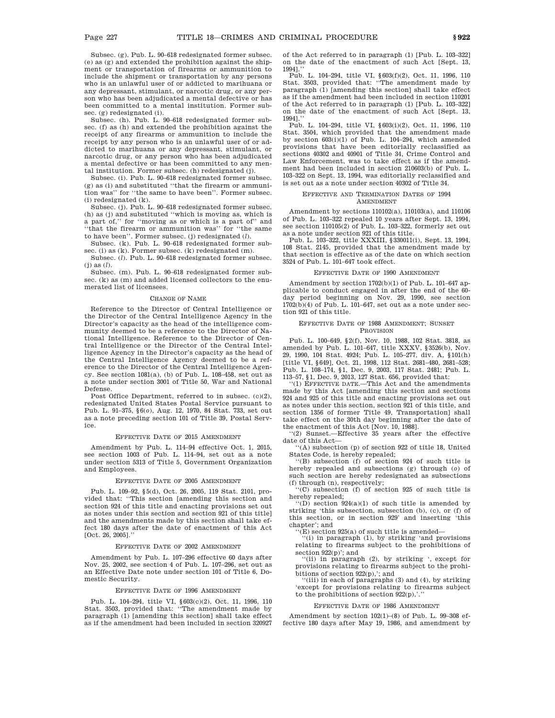Subsec. (g). Pub. L. 90–618 redesignated former subsec. (e) as (g) and extended the prohibition against the shipment or transportation of firearms or ammunition to include the shipment or transportation by any persons who is an unlawful user of or addicted to marihuana or any depressant, stimulant, or narcotic drug, or any person who has been adjudicated a mental defective or has been committed to a mental institution. Former subsec. (g) redesignated (i).

Subsec. (h). Pub. L. 90–618 redesignated former subsec. (f) as (h) and extended the prohibition against the receipt of any firearms or ammunition to include the receipt by any person who is an unlawful user of or addicted to marihuana or any depressant, stimulant, or narcotic drug, or any person who has been adjudicated a mental defective or has been committed to any mental institution. Former subsec. (h) redesignated (j).

Subsec. (i). Pub. L. 90–618 redesignated former subsec. (g) as (i) and substituted ''that the firearm or ammunition was'' for ''the same to have been''. Former subsec. (i) redesignated (k).

Subsec. (j). Pub. L. 90–618 redesignated former subsec. (h) as (j) and substituted ''which is moving as, which is a part of,'' for ''moving as or which is a part of'' and ''that the firearm or ammunition was'' for ''the same to have been''. Former subsec. (j) redesignated (*l*).

Subsec. (k). Pub. L. 90–618 redesignated former subsec. (i) as (k). Former subsec. (k) redesignated (m).

Subsec. (*l*). Pub. L. 90–618 redesignated former subsec. (j) as (*l*).

Subsec. (m). Pub. L. 90–618 redesignated former subsec. (k) as (m) and added licensed collectors to the enumerated list of licensees.

# CHANGE OF NAME

Reference to the Director of Central Intelligence or the Director of the Central Intelligence Agency in the Director's capacity as the head of the intelligence community deemed to be a reference to the Director of National Intelligence. Reference to the Director of Central Intelligence or the Director of the Central Intelligence Agency in the Director's capacity as the head of the Central Intelligence Agency deemed to be a reference to the Director of the Central Intelligence Agency. See section  $1081(\mathrm{a}),$  (b) of Pub. L.  $108\text{--}458,$  set out as a note under section 3001 of Title 50, War and National Defense.

Post Office Department, referred to in subsec. (c)(2), redesignated United States Postal Service pursuant to Pub. L. 91–375, §6(*o*), Aug. 12, 1970, 84 Stat. 733, set out as a note preceding section 101 of Title 39, Postal Service.

#### EFFECTIVE DATE OF 2015 AMENDMENT

Amendment by Pub. L. 114–94 effective Oct. 1, 2015, see section 1003 of Pub. L. 114–94, set out as a note under section 5313 of Title 5, Government Organization and Employees.

#### EFFECTIVE DATE OF 2005 AMENDMENT

Pub. L. 109–92, §5(d), Oct. 26, 2005, 119 Stat. 2101, provided that: ''This section [amending this section and section 924 of this title and enacting provisions set out as notes under this section and section 921 of this title] and the amendments made by this section shall take effect 180 days after the date of enactment of this Act [Oct. 26, 2005].

#### EFFECTIVE DATE OF 2002 AMENDMENT

Amendment by Pub. L. 107–296 effective 60 days after Nov. 25, 2002, see section 4 of Pub. L. 107–296, set out as an Effective Date note under section 101 of Title 6, Domestic Security.

#### EFFECTIVE DATE OF 1996 AMENDMENT

Pub. L. 104–294, title VI, §603(c)(2), Oct. 11, 1996, 110 Stat. 3503, provided that: ''The amendment made by paragraph (1) [amending this section] shall take effect as if the amendment had been included in section 320927

of the Act referred to in paragraph (1) [Pub. L. 103–322] on the date of the enactment of such Act [Sept. 13, 1994].''

Pub. L. 104–294, title VI, §603(f)(2), Oct. 11, 1996, 110 Stat. 3503, provided that: ''The amendment made by paragraph (1) [amending this section] shall take effect as if the amendment had been included in section 110201 of the Act referred to in paragraph (1) [Pub. L. 103–322] on the date of the enactment of such Act [Sept. 13, 1994].''

Pub. L. 104–294, title VI, §603(i)(2), Oct. 11, 1996, 110 Stat. 3504, which provided that the amendment made by section 603(i)(1) of Pub. L. 104–294, which amended provisions that have been editorially reclassified as sections 40302 and 40901 of Title 34, Crime Control and Law Enforcement, was to take effect as if the amendment had been included in section 210603(b) of Pub. L. 103–322 on Sept. 13, 1994, was editorially reclassified and is set out as a note under section 40302 of Title 34.

# EFFECTIVE AND TERMINATION DATES OF 1994 AMENDMENT

Amendment by sections 110102(a), 110103(a), and 110106 of Pub. L. 103–322 repealed 10 years after Sept. 13, 1994, see section 110105(2) of Pub. L. 103–322, formerly set out

as a note under section 921 of this title. Pub. L. 103–322, title XXXIII, §330011(i), Sept. 13, 1994, 108 Stat. 2145, provided that the amendment made by that section is effective as of the date on which section 3524 of Pub. L. 101–647 took effect.

### EFFECTIVE DATE OF 1990 AMENDMENT

Amendment by section 1702(b)(1) of Pub. L. 101–647 applicable to conduct engaged in after the end of the 60 day period beginning on Nov. 29, 1990, see section 1702(b)(4) of Pub. L. 101–647, set out as a note under section 921 of this title.

## EFFECTIVE DATE OF 1988 AMENDMENT; SUNSET PROVISION

Pub. L. 100–649, §2(f), Nov. 10, 1988, 102 Stat. 3818, as amended by Pub. L. 101–647, title XXXV, §3526(b), Nov. 29, 1990, 104 Stat. 4924; Pub. L. 105–277, div. A, §101(h) [title VI, §649], Oct. 21, 1998, 112 Stat. 2681–480, 2681–528; Pub. L. 108–174, §1, Dec. 9, 2003, 117 Stat. 2481; Pub. L.

113–57, §1, Dec. 9, 2013, 127 Stat. 656, provided that: ''(1) EFFECTIVE DATE.—This Act and the amendments made by this Act [amending this section and sections 924 and 925 of this title and enacting provisions set out as notes under this section, section 921 of this title, and section 1356 of former Title 49, Transportation] shall take effect on the 30th day beginning after the date of the enactment of this Act [Nov. 10, 1988].

''(2) Sunset.—Effective 35 years after the effective date of this Act—

''(A) subsection (p) of section 922 of title 18, United States Code, is hereby repealed;

''(B) subsection (f) of section 924 of such title is hereby repealed and subsections (g) through (*o*) of such section are hereby redesignated as subsections (f) through (n), respectively;

'(C) subsection (f) of section 925 of such title is

hereby repealed; ''(D) section 924(a)(1) of such title is amended by striking 'this subsection, subsection (b), (c), or (f) of this section, or in section 929' and inserting 'this chapter'; and

 $\widetilde{E}$ ) section 925(a) of such title is amended-

''(i) in paragraph (1), by striking 'and provisions relating to firearms subject to the prohibitions of section 922(p)'; and

''(ii) in paragraph (2), by striking ', except for provisions relating to firearms subject to the prohibitions of section 922(p),'; and

''(iii) in each of paragraphs (3) and (4), by striking 'except for provisions relating to firearms subject to the prohibitions of section  $922(p)$ ,'.'

#### EFFECTIVE DATE OF 1986 AMENDMENT

Amendment by section 102(1)–(8) of Pub. L. 99–308 effective 180 days after May 19, 1986, and amendment by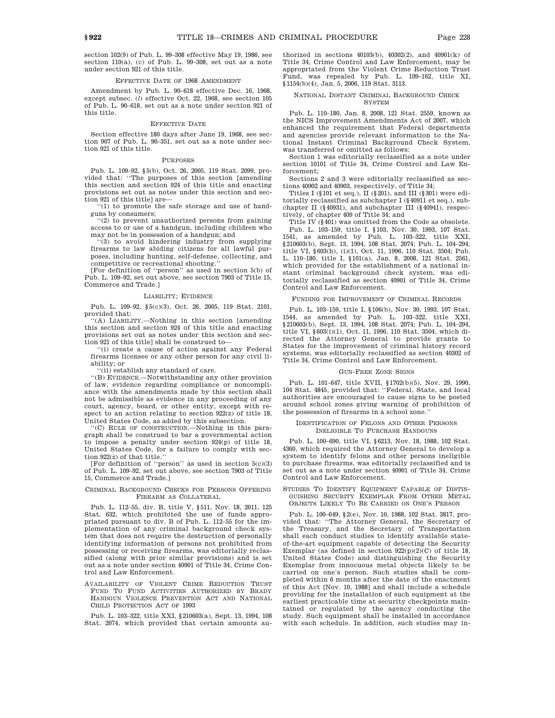section 102(9) of Pub. L. 99–308 effective May 19, 1986, see section 110(a), (c) of Pub. L. 99–308, set out as a note under section 921 of this title.

# EFFECTIVE DATE OF 1968 AMENDMENT

Amendment by Pub. L. 90–618 effective Dec. 16, 1968, except subsec. (*l*) effective Oct. 22, 1968, see section 105 of Pub. L. 90–618, set out as a note under section 921 of this title.

#### EFFECTIVE DATE

Section effective 180 days after June 19, 1968, see section 907 of Pub. L. 90–351, set out as a note under section 921 of this title.

### PURPOSES

Pub. L. 109–92, §5(b), Oct. 26, 2005, 119 Stat. 2099, provided that: ''The purposes of this section [amending this section and section 924 of this title and enacting provisions set out as notes under this section and section 921 of this title] are—

'(1) to promote the safe storage and use of handguns by consumers;

''(2) to prevent unauthorized persons from gaining access to or use of a handgun, including children who may not be in possession of a handgun; and

 $(3)$  to avoid hindering industry from supplying firearms to law abiding citizens for all lawful purposes, including hunting, self-defense, collecting, and competitive or recreational shooting.''

[For definition of ''person'' as used in section 5(b) of Pub. L. 109–92, set out above, see section 7903 of Title 15, Commerce and Trade.]

## LIABILITY; EVIDENCE

Pub. L. 109–92, §5(c)(3), Oct. 26, 2005, 119 Stat. 2101, provided that:

''(A) LIABILITY.—Nothing in this section [amending this section and section 924 of this title and enacting provisions set out as notes under this section and section 921 of this title] shall be construed to—

''(i) create a cause of action against any Federal firearms licensee or any other person for any civil liability; or

''(ii) establish any standard of care.

''(B) EVIDENCE.—Notwithstanding any other provision of law, evidence regarding compliance or noncompliance with the amendments made by this section shall not be admissible as evidence in any proceeding of any court, agency, board, or other entity, except with respect to an action relating to section 922(z) of title 18, United States Code, as added by this subsection.

''(C) RULE OF CONSTRUCTION.—Nothing in this paragraph shall be construed to bar a governmental action to impose a penalty under section 924(p) of title 18, United States Code, for a failure to comply with section 922(z) of that title.''

[For definition of "person" as used in section  $5(c)(3)$ of Pub. L. 109–92, set out above, see section 7903 of Title 15, Commerce and Trade.]

# CRIMINAL BACKGROUND CHECKS FOR PERSONS OFFERING FIREARM AS COLLATERAL

Pub. L. 112–55, div. B, title V, §511, Nov. 18, 2011, 125 Stat. 632, which prohibited the use of funds appropriated pursuant to div. B of Pub. L. 112–55 for the implementation of any criminal background check system that does not require the destruction of personally identifying information of persons not prohibited from possessing or receiving firearms, was editorially reclassified (along with prior similar provisions) and is set out as a note under section 40901 of Title 34, Crime Control and Law Enforcement.

AVAILABILITY OF VIOLENT CRIME REDUCTION TRUST FUND TO FUND ACTIVITIES AUTHORIZED BY BRADY HANDGUN VIOLENCE PREVENTION ACT AND NATIONAL CHILD PROTECTION ACT OF 1993

Pub. L. 103–322, title XXI, §210603(a), Sept. 13, 1994, 108 Stat. 2074, which provided that certain amounts authorized in sections  $40103(b)$ ,  $40302(2)$ , and  $40901(k)$  of Title 34, Crime Control and Law Enforcement, may be appropriated from the Violent Crime Reduction Trust Fund, was repealed by Pub. L. 109–162, title XI, §1154(b)(4), Jan. 5, 2006, 119 Stat. 3113.

## NATIONAL INSTANT CRIMINAL BACKGROUND CHECK **SYSTEM**

Pub. L. 110–180, Jan. 8, 2008, 121 Stat. 2559, known as the NICS Improvement Amendments Act of 2007, which enhanced the requirement that Federal departments and agencies provide relevant information to the National Instant Criminal Background Check System, was transferred or omitted as follows:

Section 1 was editorially reclassified as a note under section 10101 of Title 34, Crime Control and Law Enforcement;

Sections 2 and 3 were editorially reclassified as sections 40902 and 40903, respectively, of Title 34;

Titles I (§101 et seq.), II (§201), and III (§301) were editorially reclassified as subchapter I (§40911 et seq.), subchapter II (§40931), and subchapter III (§40941), respectively, of chapter 409 of Title 34; and

Title IV (§401) was omitted from the Code as obsolete. Pub. L. 103–159, title I, §103, Nov. 30, 1993, 107 Stat. 1541, as amended by Pub. L. 103–322, title XXI, §210603(b), Sept. 13, 1994, 108 Stat. 2074; Pub. L. 104–294, title VI, §603(h), (i)(1), Oct. 11, 1996, 110 Stat. 3504; Pub. L. 110–180, title I, §101(a), Jan. 8, 2008, 121 Stat. 2561, which provided for the establishment of a national instant criminal background check system, was editorially reclassified as section 40901 of Title 34, Crime Control and Law Enforcement.

FUNDING FOR IMPROVEMENT OF CRIMINAL RECORDS

Pub. L. 103–159, title I, §106(b), Nov. 30, 1993, 107 Stat. 1544, as amended by Pub. L. 103–322, title XXI, §210603(b), Sept. 13, 1994, 108 Stat. 2074; Pub. L. 104–294, title VI, §603(i)(1), Oct. 11, 1996, 110 Stat. 3504, which directed the Attorney General to provide grants to States for the improvement of criminal history record systems, was editorially reclassified as section 40302 of Title 34, Crime Control and Law Enforcement.

#### GUN-FREE ZONE SIGNS

Pub. L. 101–647, title XVII, §1702(b)(5), Nov. 29, 1990, 104 Stat. 4845, provided that: ''Federal, State, and local authorities are encouraged to cause signs to be posted around school zones giving warning of prohibition of the possession of firearms in a school zone.''

# IDENTIFICATION OF FELONS AND OTHER PERSONS INELIGIBLE TO PURCHASE HANDGUNS

Pub. L. 100–690, title VI, §6213, Nov. 18, 1988, 102 Stat. 4360, which required the Attorney General to develop a system to identify felons and other persons ineligible to purchase firearms, was editorially reclassified and is set out as a note under section 40901 of Title 34, Crime Control and Law Enforcement.

STUDIES TO IDENTIFY EQUIPMENT CAPABLE OF DISTIN-GUISHING SECURITY EXEMPLAR FROM OTHER METAL OBJECTS LIKELY TO BE CARRIED ON ONE'S PERSON

Pub. L. 100–649, §2(e), Nov. 10, 1988, 102 Stat. 3817, provided that: ''The Attorney General, the Secretary of the Treasury, and the Secretary of Transportation shall each conduct studies to identify available stateof-the-art equipment capable of detecting the Security Exemplar (as defined in section  $922(p)(2)(C)$  of title 18, United States Code) and distinguishing the Security Exemplar from innocuous metal objects likely to be carried on one's person. Such studies shall be completed within 6 months after the date of the enactment of this Act [Nov. 10, 1988] and shall include a schedule providing for the installation of such equipment at the earliest practicable time at security checkpoints maintained or regulated by the agency conducting the study. Such equipment shall be installed in accordance with each schedule. In addition, such studies may in